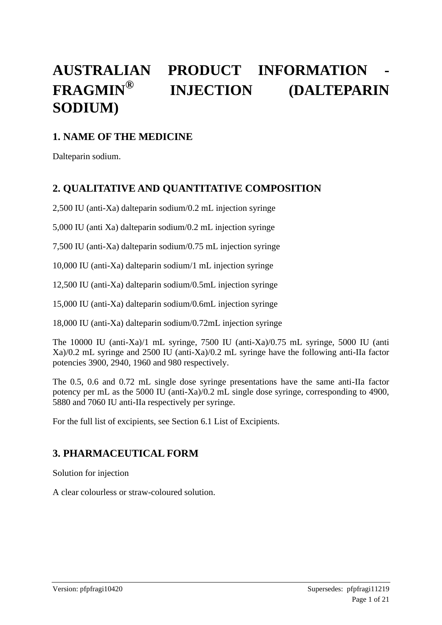# **AUSTRALIAN PRODUCT INFORMATION - FRAGMIN® INJECTION (DALTEPARIN SODIUM)**

## **1. NAME OF THE MEDICINE**

Dalteparin sodium.

## **2. QUALITATIVE AND QUANTITATIVE COMPOSITION**

2,500 IU (anti-Xa) dalteparin sodium/0.2 mL injection syringe

5,000 IU (anti Xa) dalteparin sodium/0.2 mL injection syringe

7,500 IU (anti-Xa) dalteparin sodium/0.75 mL injection syringe

10,000 IU (anti-Xa) dalteparin sodium/1 mL injection syringe

12,500 IU (anti-Xa) dalteparin sodium/0.5mL injection syringe

15,000 IU (anti-Xa) dalteparin sodium/0.6mL injection syringe

18,000 IU (anti-Xa) dalteparin sodium/0.72mL injection syringe

The 10000 IU (anti-Xa)/1 mL syringe, 7500 IU (anti-Xa)/0.75 mL syringe, 5000 IU (anti Xa)/0.2 mL syringe and 2500 IU (anti-Xa)/0.2 mL syringe have the following anti-IIa factor potencies 3900, 2940, 1960 and 980 respectively.

The 0.5, 0.6 and 0.72 mL single dose syringe presentations have the same anti-IIa factor potency per mL as the 5000 IU (anti-Xa)/0.2 mL single dose syringe, corresponding to 4900, 5880 and 7060 IU anti-IIa respectively per syringe.

For the full list of excipients, see Section 6.1 List of Excipients.

# **3. PHARMACEUTICAL FORM**

Solution for injection

A clear colourless or straw-coloured solution.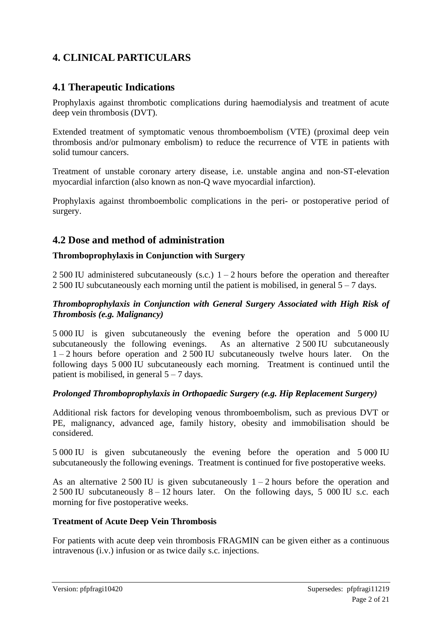# **4. CLINICAL PARTICULARS**

## **4.1 Therapeutic Indications**

Prophylaxis against thrombotic complications during haemodialysis and treatment of acute deep vein thrombosis (DVT).

Extended treatment of symptomatic venous thromboembolism (VTE) (proximal deep vein thrombosis and/or pulmonary embolism) to reduce the recurrence of VTE in patients with solid tumour cancers.

Treatment of unstable coronary artery disease, i.e. unstable angina and non-ST-elevation myocardial infarction (also known as non-Q wave myocardial infarction).

Prophylaxis against thromboembolic complications in the peri- or postoperative period of surgery.

## **4.2 Dose and method of administration**

### **Thromboprophylaxis in Conjunction with Surgery**

2 500 IU administered subcutaneously (s.c.)  $1 - 2$  hours before the operation and thereafter 2 500 IU subcutaneously each morning until the patient is mobilised, in general  $5 - 7$  days.

#### *Thromboprophylaxis in Conjunction with General Surgery Associated with High Risk of Thrombosis (e.g. Malignancy)*

5 000 IU is given subcutaneously the evening before the operation and 5 000 IU subcutaneously the following evenings. As an alternative 2 500 IU subcutaneously  $1 - 2$  hours before operation and  $2,500$  IU subcutaneously twelve hours later. On the following days 5 000 IU subcutaneously each morning. Treatment is continued until the patient is mobilised, in general  $5 - 7$  days.

#### *Prolonged Thromboprophylaxis in Orthopaedic Surgery (e.g. Hip Replacement Surgery)*

Additional risk factors for developing venous thromboembolism, such as previous DVT or PE, malignancy, advanced age, family history, obesity and immobilisation should be considered.

5 000 IU is given subcutaneously the evening before the operation and 5 000 IU subcutaneously the following evenings. Treatment is continued for five postoperative weeks.

As an alternative 2 500 IU is given subcutaneously  $1 - 2$  hours before the operation and 2 500 IU subcutaneously  $8 - 12$  hours later. On the following days, 5 000 IU s.c. each morning for five postoperative weeks.

#### **Treatment of Acute Deep Vein Thrombosis**

For patients with acute deep vein thrombosis FRAGMIN can be given either as a continuous intravenous (i.v.) infusion or as twice daily s.c. injections.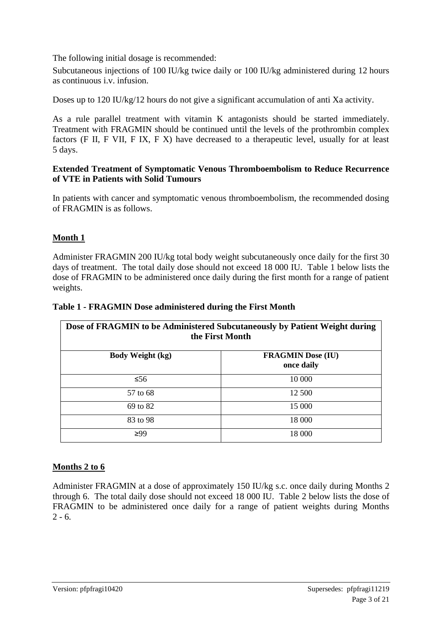The following initial dosage is recommended:

Subcutaneous injections of 100 IU/kg twice daily or 100 IU/kg administered during 12 hours as continuous i.v. infusion.

Doses up to 120 IU/kg/12 hours do not give a significant accumulation of anti Xa activity.

As a rule parallel treatment with vitamin K antagonists should be started immediately. Treatment with FRAGMIN should be continued until the levels of the prothrombin complex factors (F II, F VII, F IX, F X) have decreased to a therapeutic level, usually for at least 5 days.

#### **Extended Treatment of Symptomatic Venous Thromboembolism to Reduce Recurrence of VTE in Patients with Solid Tumours**

In patients with cancer and symptomatic venous thromboembolism, the recommended dosing of FRAGMIN is as follows.

### **Month 1**

Administer FRAGMIN 200 IU/kg total body weight subcutaneously once daily for the first 30 days of treatment. The total daily dose should not exceed 18 000 IU. Table 1 below lists the dose of FRAGMIN to be administered once daily during the first month for a range of patient weights.

| Dose of FRAGMIN to be Administered Subcutaneously by Patient Weight during<br>the First Month |                                        |  |  |  |  |  |
|-----------------------------------------------------------------------------------------------|----------------------------------------|--|--|--|--|--|
| <b>Body Weight (kg)</b>                                                                       | <b>FRAGMIN Dose (IU)</b><br>once daily |  |  |  |  |  |
| $\leq 56$                                                                                     | 10 000                                 |  |  |  |  |  |
| 57 to 68                                                                                      | 12 500                                 |  |  |  |  |  |
| 69 to 82                                                                                      | 15 000                                 |  |  |  |  |  |
| 83 to 98                                                                                      | 18 000                                 |  |  |  |  |  |
| $\geq 99$                                                                                     | 18 000                                 |  |  |  |  |  |

#### **Table 1 - FRAGMIN Dose administered during the First Month**

### **Months 2 to 6**

Administer FRAGMIN at a dose of approximately 150 IU/kg s.c. once daily during Months 2 through 6. The total daily dose should not exceed 18 000 IU. Table 2 below lists the dose of FRAGMIN to be administered once daily for a range of patient weights during Months  $2 - 6$ .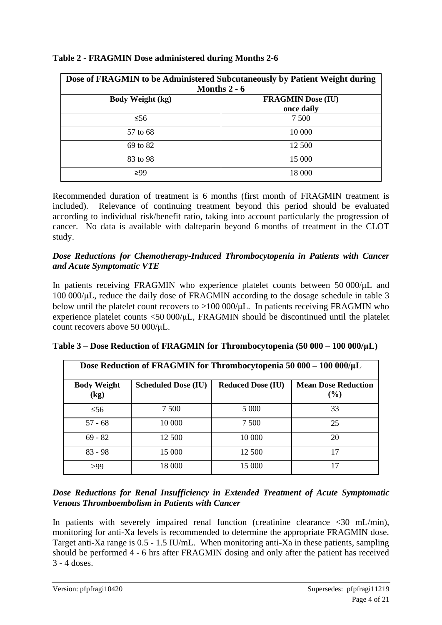| Dose of FRAGMIN to be Administered Subcutaneously by Patient Weight during<br>Months $2 - 6$ |                                        |  |  |  |  |
|----------------------------------------------------------------------------------------------|----------------------------------------|--|--|--|--|
| <b>Body Weight (kg)</b>                                                                      | <b>FRAGMIN Dose (IU)</b><br>once daily |  |  |  |  |
| $\leq 56$                                                                                    | 7 500                                  |  |  |  |  |
| 57 to 68                                                                                     | 10 000                                 |  |  |  |  |
| 69 to 82                                                                                     | 12 500                                 |  |  |  |  |
| 83 to 98                                                                                     | 15 000                                 |  |  |  |  |
| $\geq 99$                                                                                    | 18 000                                 |  |  |  |  |

#### **Table 2 - FRAGMIN Dose administered during Months 2-6**

Recommended duration of treatment is 6 months (first month of FRAGMIN treatment is included). Relevance of continuing treatment beyond this period should be evaluated according to individual risk/benefit ratio, taking into account particularly the progression of cancer. No data is available with dalteparin beyond 6 months of treatment in the CLOT study.

#### *Dose Reductions for Chemotherapy-Induced Thrombocytopenia in Patients with Cancer and Acute Symptomatic VTE*

In patients receiving FRAGMIN who experience platelet counts between 50 000/μL and 100 000/μL, reduce the daily dose of FRAGMIN according to the dosage schedule in table 3 below until the platelet count recovers to  $\geq 100 000/\mu L$ . In patients receiving FRAGMIN who experience platelet counts  $\langle 50\ 000/\mu L$ , FRAGMIN should be discontinued until the platelet count recovers above 50 000/μL.

| Dose Reduction of FRAGMIN for Thrombocytopenia 50 000 - 100 000/ $\mu$ L |                            |                          |                                      |  |  |  |  |  |
|--------------------------------------------------------------------------|----------------------------|--------------------------|--------------------------------------|--|--|--|--|--|
| <b>Body Weight</b><br>$\left(\text{kg}\right)$                           | <b>Scheduled Dose (IU)</b> | <b>Reduced Dose (IU)</b> | <b>Mean Dose Reduction</b><br>$($ %) |  |  |  |  |  |
| $\leq 56$                                                                | 7 500                      | 5 0 0 0                  | 33                                   |  |  |  |  |  |
| $57 - 68$                                                                | 10 000                     | 7 500                    | 25                                   |  |  |  |  |  |
| $69 - 82$                                                                | 12 500                     | 10 000                   | 20                                   |  |  |  |  |  |
| $83 - 98$                                                                | 15 000                     | 12 500                   | 17                                   |  |  |  |  |  |
| >99                                                                      | 18 000                     | 15 000                   | 17                                   |  |  |  |  |  |

|  |  | Table 3 – Dose Reduction of FRAGMIN for Thrombocytopenia (50 000 – 100 000/µL) |  |  |
|--|--|--------------------------------------------------------------------------------|--|--|
|  |  |                                                                                |  |  |

#### *Dose Reductions for Renal Insufficiency in Extended Treatment of Acute Symptomatic Venous Thromboembolism in Patients with Cancer*

In patients with severely impaired renal function (creatinine clearance  $\langle 30 \rangle$  mL/min), monitoring for anti-Xa levels is recommended to determine the appropriate FRAGMIN dose. Target anti-Xa range is 0.5 - 1.5 IU/mL. When monitoring anti-Xa in these patients, sampling should be performed 4 - 6 hrs after FRAGMIN dosing and only after the patient has received 3 - 4 doses.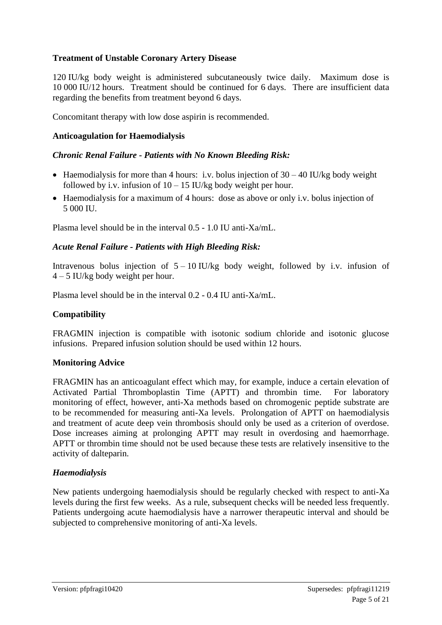### **Treatment of Unstable Coronary Artery Disease**

120 IU/kg body weight is administered subcutaneously twice daily. Maximum dose is 10 000 IU/12 hours. Treatment should be continued for 6 days. There are insufficient data regarding the benefits from treatment beyond 6 days.

Concomitant therapy with low dose aspirin is recommended.

#### **Anticoagulation for Haemodialysis**

#### *Chronic Renal Failure - Patients with No Known Bleeding Risk:*

- Haemodialysis for more than 4 hours: i.v. bolus injection of  $30 40$  IU/kg body weight followed by i.v. infusion of  $10 - 15$  IU/kg body weight per hour.
- Haemodialysis for a maximum of 4 hours: dose as above or only i.v. bolus injection of 5 000 IU.

Plasma level should be in the interval 0.5 - 1.0 IU anti-Xa/mL.

#### *Acute Renal Failure - Patients with High Bleeding Risk:*

Intravenous bolus injection of  $5 - 10$  IU/kg body weight, followed by i.v. infusion of  $4 - 5$  IU/kg body weight per hour.

Plasma level should be in the interval 0.2 - 0.4 IU anti-Xa/mL.

#### **Compatibility**

FRAGMIN injection is compatible with isotonic sodium chloride and isotonic glucose infusions. Prepared infusion solution should be used within 12 hours.

#### **Monitoring Advice**

FRAGMIN has an anticoagulant effect which may, for example, induce a certain elevation of Activated Partial Thromboplastin Time (APTT) and thrombin time. For laboratory monitoring of effect, however, anti-Xa methods based on chromogenic peptide substrate are to be recommended for measuring anti-Xa levels. Prolongation of APTT on haemodialysis and treatment of acute deep vein thrombosis should only be used as a criterion of overdose. Dose increases aiming at prolonging APTT may result in overdosing and haemorrhage. APTT or thrombin time should not be used because these tests are relatively insensitive to the activity of dalteparin.

#### *Haemodialysis*

New patients undergoing haemodialysis should be regularly checked with respect to anti-Xa levels during the first few weeks. As a rule, subsequent checks will be needed less frequently. Patients undergoing acute haemodialysis have a narrower therapeutic interval and should be subjected to comprehensive monitoring of anti-Xa levels.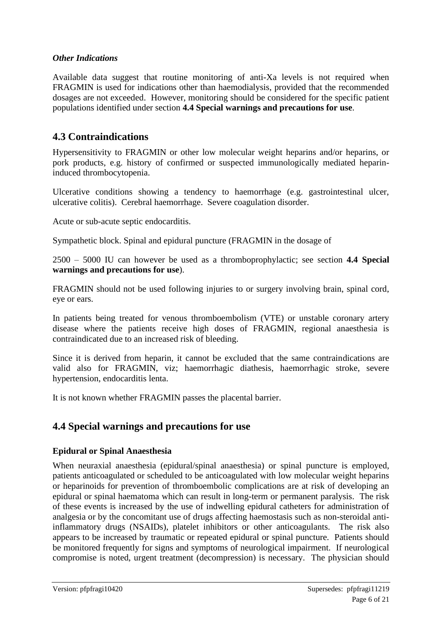### *Other Indications*

Available data suggest that routine monitoring of anti-Xa levels is not required when FRAGMIN is used for indications other than haemodialysis, provided that the recommended dosages are not exceeded. However, monitoring should be considered for the specific patient populations identified under section **4.4 Special warnings and precautions for use**.

## **4.3 Contraindications**

Hypersensitivity to FRAGMIN or other low molecular weight heparins and/or heparins, or pork products, e.g. history of confirmed or suspected immunologically mediated heparininduced thrombocytopenia.

Ulcerative conditions showing a tendency to haemorrhage (e.g. gastrointestinal ulcer, ulcerative colitis). Cerebral haemorrhage. Severe coagulation disorder.

Acute or sub-acute septic endocarditis.

Sympathetic block. Spinal and epidural puncture (FRAGMIN in the dosage of

2500 – 5000 IU can however be used as a thromboprophylactic; see section **4.4 Special warnings and precautions for use**).

FRAGMIN should not be used following injuries to or surgery involving brain, spinal cord, eye or ears.

In patients being treated for venous thromboembolism (VTE) or unstable coronary artery disease where the patients receive high doses of FRAGMIN, regional anaesthesia is contraindicated due to an increased risk of bleeding.

Since it is derived from heparin, it cannot be excluded that the same contraindications are valid also for FRAGMIN, viz; haemorrhagic diathesis, haemorrhagic stroke, severe hypertension, endocarditis lenta.

It is not known whether FRAGMIN passes the placental barrier.

## **4.4 Special warnings and precautions for use**

#### **Epidural or Spinal Anaesthesia**

When neuraxial anaesthesia (epidural/spinal anaesthesia) or spinal puncture is employed, patients anticoagulated or scheduled to be anticoagulated with low molecular weight heparins or heparinoids for prevention of thromboembolic complications are at risk of developing an epidural or spinal haematoma which can result in long-term or permanent paralysis. The risk of these events is increased by the use of indwelling epidural catheters for administration of analgesia or by the concomitant use of drugs affecting haemostasis such as non-steroidal antiinflammatory drugs (NSAIDs), platelet inhibitors or other anticoagulants. The risk also appears to be increased by traumatic or repeated epidural or spinal puncture. Patients should be monitored frequently for signs and symptoms of neurological impairment. If neurological compromise is noted, urgent treatment (decompression) is necessary. The physician should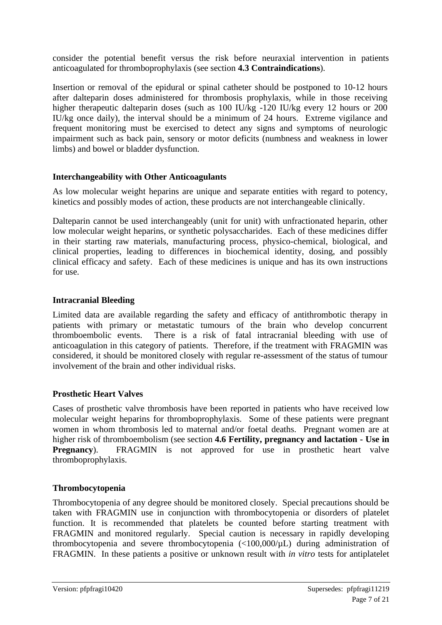consider the potential benefit versus the risk before neuraxial intervention in patients anticoagulated for thromboprophylaxis (see section **4.3 Contraindications**).

Insertion or removal of the epidural or spinal catheter should be postponed to 10-12 hours after dalteparin doses administered for thrombosis prophylaxis, while in those receiving higher therapeutic dalteparin doses (such as 100 IU/kg -120 IU/kg every 12 hours or 200 IU/kg once daily), the interval should be a minimum of 24 hours. Extreme vigilance and frequent monitoring must be exercised to detect any signs and symptoms of neurologic impairment such as back pain, sensory or motor deficits (numbness and weakness in lower limbs) and bowel or bladder dysfunction.

### **Interchangeability with Other Anticoagulants**

As low molecular weight heparins are unique and separate entities with regard to potency, kinetics and possibly modes of action, these products are not interchangeable clinically.

Dalteparin cannot be used interchangeably (unit for unit) with unfractionated heparin, other low molecular weight heparins, or synthetic polysaccharides. Each of these medicines differ in their starting raw materials, manufacturing process, physico-chemical, biological, and clinical properties, leading to differences in biochemical identity, dosing, and possibly clinical efficacy and safety. Each of these medicines is unique and has its own instructions for use.

### **Intracranial Bleeding**

Limited data are available regarding the safety and efficacy of antithrombotic therapy in patients with primary or metastatic tumours of the brain who develop concurrent thromboembolic events. There is a risk of fatal intracranial bleeding with use of anticoagulation in this category of patients. Therefore, if the treatment with FRAGMIN was considered, it should be monitored closely with regular re-assessment of the status of tumour involvement of the brain and other individual risks.

### **Prosthetic Heart Valves**

Cases of prosthetic valve thrombosis have been reported in patients who have received low molecular weight heparins for thromboprophylaxis. Some of these patients were pregnant women in whom thrombosis led to maternal and/or foetal deaths. Pregnant women are at higher risk of thromboembolism (see section **4.6 Fertility, pregnancy and lactation - Use in Pregnancy**). FRAGMIN is not approved for use in prosthetic heart valve thromboprophylaxis.

#### **Thrombocytopenia**

Thrombocytopenia of any degree should be monitored closely. Special precautions should be taken with FRAGMIN use in conjunction with thrombocytopenia or disorders of platelet function. It is recommended that platelets be counted before starting treatment with FRAGMIN and monitored regularly. Special caution is necessary in rapidly developing thrombocytopenia and severe thrombocytopenia (<100,000/µL) during administration of FRAGMIN. In these patients a positive or unknown result with *in vitro* tests for antiplatelet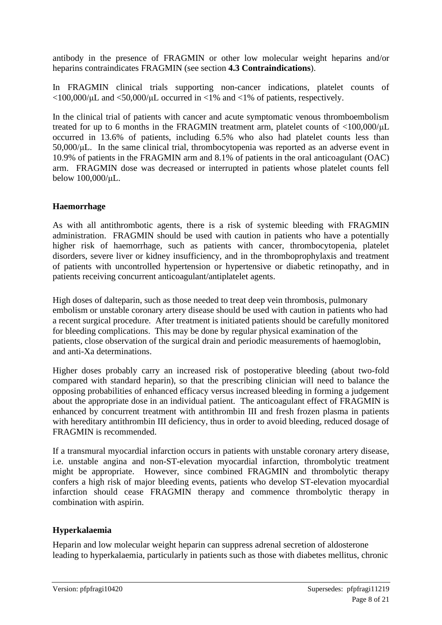antibody in the presence of FRAGMIN or other low molecular weight heparins and/or heparins contraindicates FRAGMIN (see section **4.3 Contraindications**).

In FRAGMIN clinical trials supporting non-cancer indications, platelet counts of  $\langle 100,000/\mu L \rangle$  and  $\langle 50,000/\mu L \rangle$  occurred in  $\langle 1\% \rangle$  and  $\langle 1\% \rangle$  of patients, respectively.

In the clinical trial of patients with cancer and acute symptomatic venous thromboembolism treated for up to 6 months in the FRAGMIN treatment arm, platelet counts of <100,000/μL occurred in 13.6% of patients, including 6.5% who also had platelet counts less than 50,000/μL. In the same clinical trial, thrombocytopenia was reported as an adverse event in 10.9% of patients in the FRAGMIN arm and 8.1% of patients in the oral anticoagulant (OAC) arm. FRAGMIN dose was decreased or interrupted in patients whose platelet counts fell below 100,000/μL.

### **Haemorrhage**

As with all antithrombotic agents, there is a risk of systemic bleeding with FRAGMIN administration. FRAGMIN should be used with caution in patients who have a potentially higher risk of haemorrhage, such as patients with cancer, thrombocytopenia, platelet disorders, severe liver or kidney insufficiency, and in the thromboprophylaxis and treatment of patients with uncontrolled hypertension or hypertensive or diabetic retinopathy, and in patients receiving concurrent anticoagulant/antiplatelet agents.

High doses of dalteparin, such as those needed to treat deep vein thrombosis, pulmonary embolism or unstable coronary artery disease should be used with caution in patients who had a recent surgical procedure. After treatment is initiated patients should be carefully monitored for bleeding complications. This may be done by regular physical examination of the patients, close observation of the surgical drain and periodic measurements of haemoglobin, and anti-Xa determinations.

Higher doses probably carry an increased risk of postoperative bleeding (about two-fold compared with standard heparin), so that the prescribing clinician will need to balance the opposing probabilities of enhanced efficacy versus increased bleeding in forming a judgement about the appropriate dose in an individual patient. The anticoagulant effect of FRAGMIN is enhanced by concurrent treatment with antithrombin III and fresh frozen plasma in patients with hereditary antithrombin III deficiency, thus in order to avoid bleeding, reduced dosage of FRAGMIN is recommended.

If a transmural myocardial infarction occurs in patients with unstable coronary artery disease, i.e. unstable angina and non-ST-elevation myocardial infarction, thrombolytic treatment might be appropriate. However, since combined FRAGMIN and thrombolytic therapy confers a high risk of major bleeding events, patients who develop ST-elevation myocardial infarction should cease FRAGMIN therapy and commence thrombolytic therapy in combination with aspirin.

### **Hyperkalaemia**

Heparin and low molecular weight heparin can suppress adrenal secretion of aldosterone leading to hyperkalaemia, particularly in patients such as those with diabetes mellitus, chronic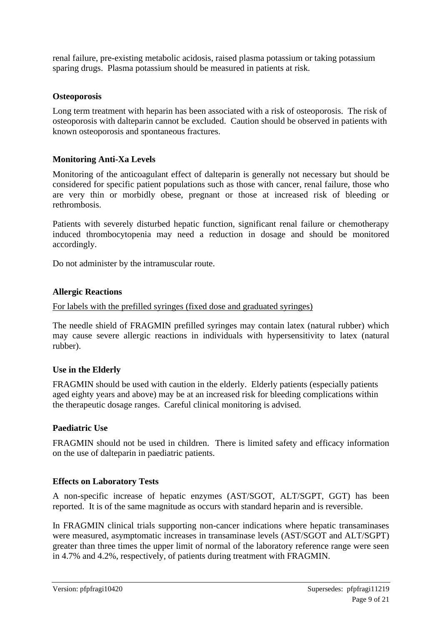renal failure, pre-existing metabolic acidosis, raised plasma potassium or taking potassium sparing drugs. Plasma potassium should be measured in patients at risk.

### **Osteoporosis**

Long term treatment with heparin has been associated with a risk of osteoporosis. The risk of osteoporosis with dalteparin cannot be excluded. Caution should be observed in patients with known osteoporosis and spontaneous fractures.

### **Monitoring Anti-Xa Levels**

Monitoring of the anticoagulant effect of dalteparin is generally not necessary but should be considered for specific patient populations such as those with cancer, renal failure, those who are very thin or morbidly obese, pregnant or those at increased risk of bleeding or rethrombosis.

Patients with severely disturbed hepatic function, significant renal failure or chemotherapy induced thrombocytopenia may need a reduction in dosage and should be monitored accordingly.

Do not administer by the intramuscular route.

### **Allergic Reactions**

#### For labels with the prefilled syringes (fixed dose and graduated syringes)

The needle shield of FRAGMIN prefilled syringes may contain latex (natural rubber) which may cause severe allergic reactions in individuals with hypersensitivity to latex (natural rubber).

#### **Use in the Elderly**

FRAGMIN should be used with caution in the elderly. Elderly patients (especially patients aged eighty years and above) may be at an increased risk for bleeding complications within the therapeutic dosage ranges. Careful clinical monitoring is advised.

#### **Paediatric Use**

FRAGMIN should not be used in children. There is limited safety and efficacy information on the use of dalteparin in paediatric patients.

#### **Effects on Laboratory Tests**

A non-specific increase of hepatic enzymes (AST/SGOT, ALT/SGPT, GGT) has been reported. It is of the same magnitude as occurs with standard heparin and is reversible.

In FRAGMIN clinical trials supporting non-cancer indications where hepatic transaminases were measured, asymptomatic increases in transaminase levels (AST/SGOT and ALT/SGPT) greater than three times the upper limit of normal of the laboratory reference range were seen in 4.7% and 4.2%, respectively, of patients during treatment with FRAGMIN.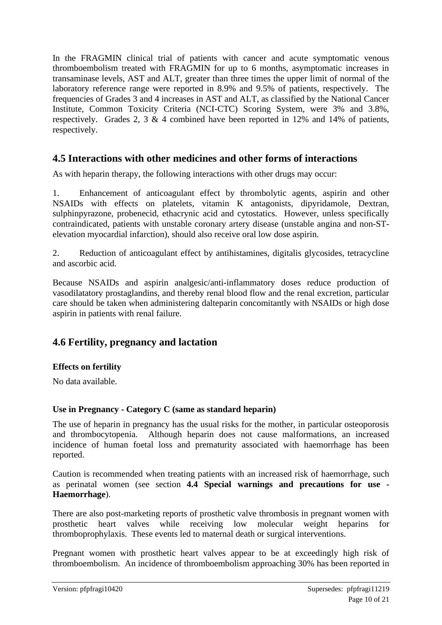In the FRAGMIN clinical trial of patients with cancer and acute symptomatic venous thromboembolism treated with FRAGMIN for up to 6 months, asymptomatic increases in transaminase levels, AST and ALT, greater than three times the upper limit of normal of the laboratory reference range were reported in 8.9% and 9.5% of patients, respectively. The frequencies of Grades 3 and 4 increases in AST and ALT, as classified by the National Cancer Institute, Common Toxicity Criteria (NCI-CTC) Scoring System, were 3% and 3.8%, respectively. Grades 2, 3 & 4 combined have been reported in 12% and 14% of patients, respectively.

## **4.5 Interactions with other medicines and other forms of interactions**

As with heparin therapy, the following interactions with other drugs may occur:

1. Enhancement of anticoagulant effect by thrombolytic agents, aspirin and other NSAIDs with effects on platelets, vitamin K antagonists, dipyridamole, Dextran, sulphinpyrazone, probenecid, ethacrynic acid and cytostatics. However, unless specifically contraindicated, patients with unstable coronary artery disease (unstable angina and non-STelevation myocardial infarction), should also receive oral low dose aspirin.

2. Reduction of anticoagulant effect by antihistamines, digitalis glycosides, tetracycline and ascorbic acid.

Because NSAIDs and aspirin analgesic/anti-inflammatory doses reduce production of vasodilatatory prostaglandins, and thereby renal blood flow and the renal excretion, particular care should be taken when administering dalteparin concomitantly with NSAIDs or high dose aspirin in patients with renal failure.

## **4.6 Fertility, pregnancy and lactation**

### **Effects on fertility**

No data available.

### **Use in Pregnancy - Category C (same as standard heparin)**

The use of heparin in pregnancy has the usual risks for the mother, in particular osteoporosis and thrombocytopenia. Although heparin does not cause malformations, an increased incidence of human foetal loss and prematurity associated with haemorrhage has been reported.

Caution is recommended when treating patients with an increased risk of haemorrhage, such as perinatal women (see section **4.4 Special warnings and precautions for use - Haemorrhage**).

There are also post-marketing reports of prosthetic valve thrombosis in pregnant women with prosthetic heart valves while receiving low molecular weight heparins for thromboprophylaxis. These events led to maternal death or surgical interventions.

Pregnant women with prosthetic heart valves appear to be at exceedingly high risk of thromboembolism. An incidence of thromboembolism approaching 30% has been reported in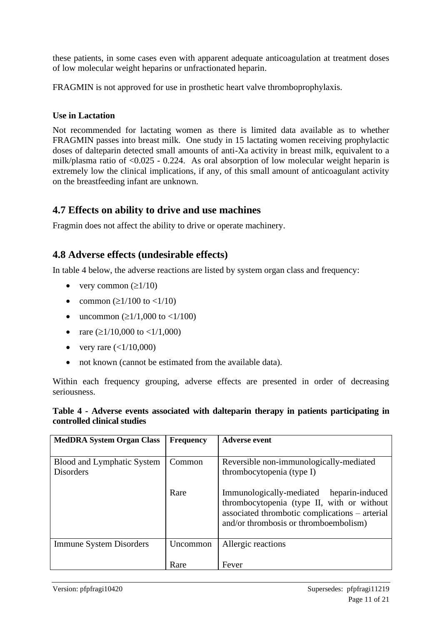these patients, in some cases even with apparent adequate anticoagulation at treatment doses of low molecular weight heparins or unfractionated heparin.

FRAGMIN is not approved for use in prosthetic heart valve thromboprophylaxis.

## **Use in Lactation**

Not recommended for lactating women as there is limited data available as to whether FRAGMIN passes into breast milk. One study in 15 lactating women receiving prophylactic doses of dalteparin detected small amounts of anti-Xa activity in breast milk, equivalent to a milk/plasma ratio of <0.025 - 0.224. As oral absorption of low molecular weight heparin is extremely low the clinical implications, if any, of this small amount of anticoagulant activity on the breastfeeding infant are unknown.

## **4.7 Effects on ability to drive and use machines**

Fragmin does not affect the ability to drive or operate machinery.

## **4.8 Adverse effects (undesirable effects)**

In table 4 below, the adverse reactions are listed by system organ class and frequency:

- very common  $(\geq 1/10)$
- common ( $\geq$ 1/100 to <1/10)
- uncommon ( $\geq$ 1/1,000 to <1/100)
- rare  $(\geq 1/10,000$  to  $\lt 1/1,000)$
- very rare  $(<1/10,000)$
- not known (cannot be estimated from the available data).

Within each frequency grouping, adverse effects are presented in order of decreasing seriousness.

### **Table 4 - Adverse events associated with dalteparin therapy in patients participating in controlled clinical studies**

| <b>MedDRA System Organ Class</b>               | <b>Frequency</b> | Adverse event                                                                                                                                                                     |
|------------------------------------------------|------------------|-----------------------------------------------------------------------------------------------------------------------------------------------------------------------------------|
| Blood and Lymphatic System<br><b>Disorders</b> | Common           | Reversible non-immunologically-mediated<br>thrombocytopenia (type I)                                                                                                              |
|                                                | Rare             | Immunologically-mediated heparin-induced<br>thrombocytopenia (type II, with or without<br>associated thrombotic complications - arterial<br>and/or thrombosis or thromboembolism) |
| <b>Immune System Disorders</b>                 | Uncommon         | Allergic reactions                                                                                                                                                                |
|                                                | Rare             | Fever                                                                                                                                                                             |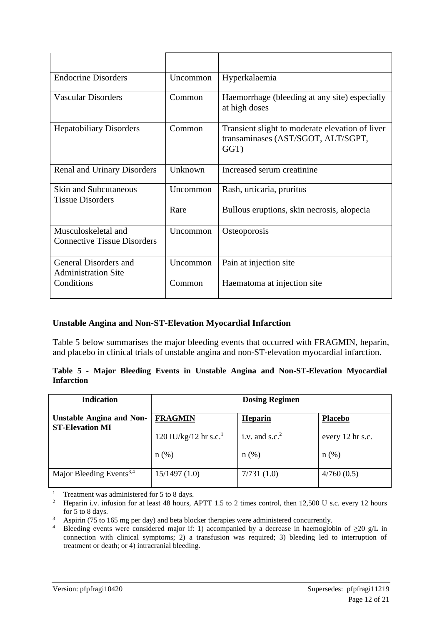| <b>Endocrine Disorders</b>                                | Uncommon | Hyperkalaemia                                                                                 |
|-----------------------------------------------------------|----------|-----------------------------------------------------------------------------------------------|
| <b>Vascular Disorders</b>                                 | Common   | Haemorrhage (bleeding at any site) especially<br>at high doses                                |
| <b>Hepatobiliary Disorders</b>                            | Common   | Transient slight to moderate elevation of liver<br>transaminases (AST/SGOT, ALT/SGPT,<br>GGT) |
| <b>Renal and Urinary Disorders</b>                        | Unknown  | Increased serum creatinine                                                                    |
| <b>Skin and Subcutaneous</b><br><b>Tissue Disorders</b>   | Uncommon | Rash, urticaria, pruritus                                                                     |
|                                                           | Rare     | Bullous eruptions, skin necrosis, alopecia                                                    |
| Musculoskeletal and<br><b>Connective Tissue Disorders</b> | Uncommon | Osteoporosis                                                                                  |
| General Disorders and<br><b>Administration Site</b>       | Uncommon | Pain at injection site                                                                        |
| Conditions                                                | Common   | Haematoma at injection site                                                                   |

### **Unstable Angina and Non-ST-Elevation Myocardial Infarction**

Table 5 below summarises the major bleeding events that occurred with FRAGMIN, heparin, and placebo in clinical trials of unstable angina and non-ST-elevation myocardial infarction.

|                   |  |  |  | Table 5 - Major Bleeding Events in Unstable Angina and Non-ST-Elevation Myocardial |  |
|-------------------|--|--|--|------------------------------------------------------------------------------------|--|
| <b>Infarction</b> |  |  |  |                                                                                    |  |

| <b>Indication</b>                                         | <b>Dosing Regimen</b>             |                  |                  |  |  |  |
|-----------------------------------------------------------|-----------------------------------|------------------|------------------|--|--|--|
| <b>Unstable Angina and Non-</b><br><b>ST-Elevation MI</b> | <b>FRAGMIN</b>                    | Heparin          | <b>Placebo</b>   |  |  |  |
|                                                           | 120 IU/kg/12 hr s.c. <sup>1</sup> | i.v. and $s.c.2$ | every 12 hr s.c. |  |  |  |
|                                                           | $n(\%)$                           | $n$ (%)          | $n$ (%)          |  |  |  |
| Major Bleeding Events <sup>3,4</sup>                      | 15/1497(1.0)                      | 7/731(1.0)       | 4/760(0.5)       |  |  |  |

<sup>1</sup> Treatment was administered for 5 to 8 days.

<sup>&</sup>lt;sup>2</sup> Heparin i.v. infusion for at least 48 hours, APTT 1.5 to 2 times control, then 12,500 U s.c. every 12 hours for 5 to 8 days.

<sup>&</sup>lt;sup>3</sup> Aspirin (75 to 165 mg per day) and beta blocker therapies were administered concurrently.

<sup>&</sup>lt;sup>4</sup> Bleeding events were considered major if: 1) accompanied by a decrease in haemoglobin of  $\geq$ 20 g/L in connection with clinical symptoms; 2) a transfusion was required; 3) bleeding led to interruption of treatment or death; or 4) intracranial bleeding.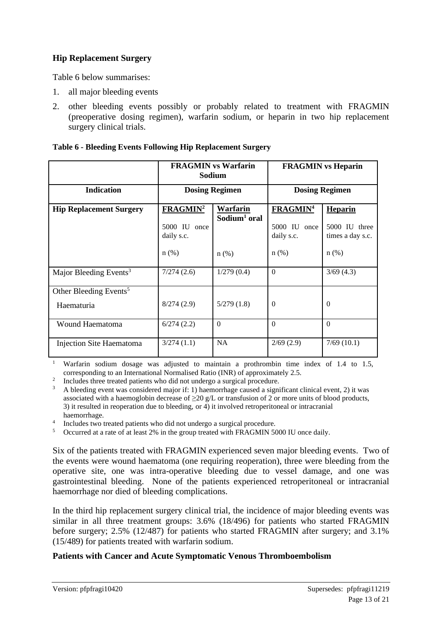## **Hip Replacement Surgery**

Table 6 below summarises:

- 1. all major bleeding events
- 2. other bleeding events possibly or probably related to treatment with FRAGMIN (preoperative dosing regimen), warfarin sodium, or heparin in two hip replacement surgery clinical trials.

|                                                  |                                                                                                                  | <b>FRAGMIN</b> vs Warfarin<br>Sodium | <b>FRAGMIN</b> vs Heparin                                           |                                                                |  |
|--------------------------------------------------|------------------------------------------------------------------------------------------------------------------|--------------------------------------|---------------------------------------------------------------------|----------------------------------------------------------------|--|
| <b>Indication</b>                                |                                                                                                                  | <b>Dosing Regimen</b>                | <b>Dosing Regimen</b>                                               |                                                                |  |
| <b>Hip Replacement Surgery</b>                   | FRAGMIN <sup>2</sup><br>Warfarin<br>Sodium <sup>1</sup> oral<br>5000 IU once<br>daily s.c.<br>$n$ (%)<br>$n$ (%) |                                      | <b>FRAGMIN<sup>4</sup></b><br>5000 IU once<br>daily s.c.<br>$n$ (%) | <b>Heparin</b><br>5000 IU three<br>times a day s.c.<br>$n$ (%) |  |
| Major Bleeding Events <sup>3</sup>               | 7/274(2.6)                                                                                                       | 1/279(0.4)                           | $\Omega$                                                            | 3/69(4.3)                                                      |  |
| Other Bleeding Events <sup>5</sup><br>Haematuria | 8/274(2.9)                                                                                                       | 5/279(1.8)                           | $\Omega$                                                            | $\Omega$                                                       |  |
| Wound Haematoma                                  | 6/274(2.2)                                                                                                       | $\Omega$                             | $\Omega$                                                            | $\Omega$                                                       |  |
| Injection Site Haematoma                         | 3/274(1.1)                                                                                                       | NA                                   | 2/69(2.9)                                                           | 7/69(10.1)                                                     |  |

#### **Table 6 - Bleeding Events Following Hip Replacement Surgery**

<sup>1</sup> Warfarin sodium dosage was adjusted to maintain a prothrombin time index of 1.4 to 1.5, corresponding to an International Normalised Ratio (INR) of approximately 2.5.

<sup>2</sup> Includes three treated patients who did not undergo a surgical procedure.

4 Includes two treated patients who did not undergo a surgical procedure.

<sup>5</sup> Occurred at a rate of at least 2% in the group treated with FRAGMIN 5000 IU once daily.

Six of the patients treated with FRAGMIN experienced seven major bleeding events. Two of the events were wound haematoma (one requiring reoperation), three were bleeding from the operative site, one was intra-operative bleeding due to vessel damage, and one was gastrointestinal bleeding. None of the patients experienced retroperitoneal or intracranial haemorrhage nor died of bleeding complications.

In the third hip replacement surgery clinical trial, the incidence of major bleeding events was similar in all three treatment groups: 3.6% (18/496) for patients who started FRAGMIN before surgery; 2.5% (12/487) for patients who started FRAGMIN after surgery; and 3.1% (15/489) for patients treated with warfarin sodium.

#### **Patients with Cancer and Acute Symptomatic Venous Thromboembolism**

 $3$  A bleeding event was considered major if: 1) haemorrhage caused a significant clinical event, 2) it was associated with a haemoglobin decrease of  $\geq$  20 g/L or transfusion of 2 or more units of blood products, 3) it resulted in reoperation due to bleeding, or 4) it involved retroperitoneal or intracranial haemorrhage.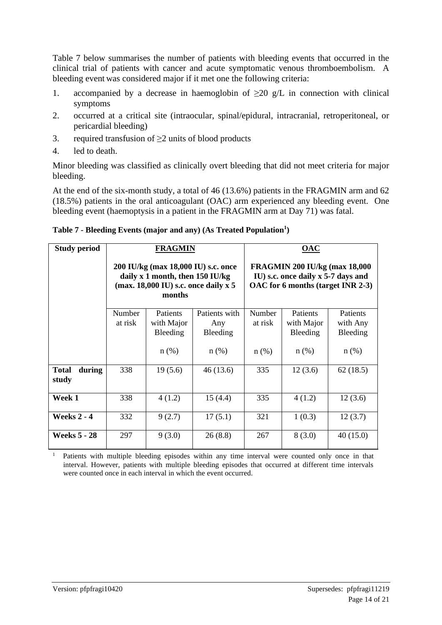Table 7 below summarises the number of patients with bleeding events that occurred in the clinical trial of patients with cancer and acute symptomatic venous thromboembolism. A bleeding event was considered major if it met one the following criteria:

- 1. accompanied by a decrease in haemoglobin of  $\geq 20$  g/L in connection with clinical symptoms
- 2. occurred at a critical site (intraocular, spinal/epidural, intracranial, retroperitoneal, or pericardial bleeding)
- 3. required transfusion of  $\geq$ 2 units of blood products
- 4. led to death.

Minor bleeding was classified as clinically overt bleeding that did not meet criteria for major bleeding.

At the end of the six-month study, a total of 46 (13.6%) patients in the FRAGMIN arm and 62 (18.5%) patients in the oral anticoagulant (OAC) arm experienced any bleeding event. One bleeding event (haemoptysis in a patient in the FRAGMIN arm at Day 71) was fatal.

| <b>Study period</b>             |                   | <b>FRAGMIN</b>                                                                                                                       |                                  |                                                                                                                  | <u>OAC</u>                                |                                         |
|---------------------------------|-------------------|--------------------------------------------------------------------------------------------------------------------------------------|----------------------------------|------------------------------------------------------------------------------------------------------------------|-------------------------------------------|-----------------------------------------|
|                                 |                   | 200 IU/kg (max 18,000 IU) s.c. once<br>daily x 1 month, then $150 \text{ IU/kg}$<br>(max. $18,000$ IU) s.c. once daily x 5<br>months |                                  | <b>FRAGMIN 200 IU/kg (max 18,000)</b><br>IU) s.c. once daily x 5-7 days and<br>OAC for 6 months (target INR 2-3) |                                           |                                         |
|                                 | Number<br>at risk | <b>Patients</b><br>with Major<br>Bleeding                                                                                            | Patients with<br>Any<br>Bleeding | Number<br>at risk                                                                                                | <b>Patients</b><br>with Major<br>Bleeding | <b>Patients</b><br>with Any<br>Bleeding |
|                                 |                   | $n$ (%)                                                                                                                              | $n$ (%)                          | $n$ (%)                                                                                                          | $n$ (%)                                   | $n(\%)$                                 |
| <b>Total</b><br>during<br>study | 338               | 19(5.6)                                                                                                                              | 46(13.6)                         | 335                                                                                                              | 12(3.6)                                   | 62(18.5)                                |
| Week 1                          | 338               | 4(1.2)                                                                                                                               | 15(4.4)                          | 335                                                                                                              | 4(1.2)                                    | 12(3.6)                                 |
| <b>Weeks 2 - 4</b>              | 332               | 9(2.7)                                                                                                                               | 17(5.1)                          | 321                                                                                                              | 1(0.3)                                    | 12(3.7)                                 |
| <b>Weeks 5 - 28</b>             | 297               | 9(3.0)                                                                                                                               | 26(8.8)                          | 267                                                                                                              | 8(3.0)                                    | 40(15.0)                                |

**Table 7 - Bleeding Events (major and any) (As Treated Population<sup>1</sup> )**

<sup>1</sup> Patients with multiple bleeding episodes within any time interval were counted only once in that interval. However, patients with multiple bleeding episodes that occurred at different time intervals were counted once in each interval in which the event occurred.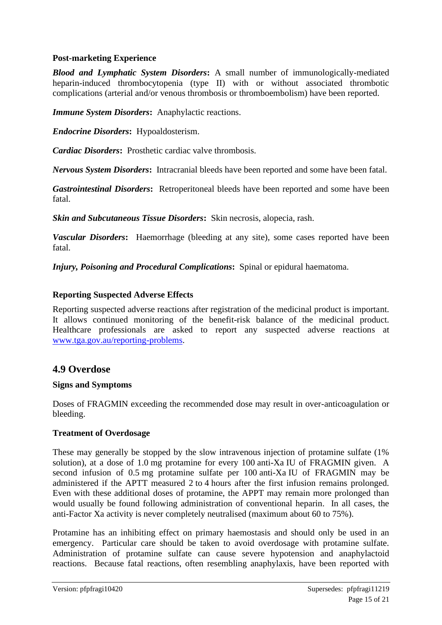### **Post-marketing Experience**

*Blood and Lymphatic System Disorders***:** A small number of immunologically-mediated heparin-induced thrombocytopenia (type II) with or without associated thrombotic complications (arterial and/or venous thrombosis or thromboembolism) have been reported.

*Immune System Disorders***:** Anaphylactic reactions.

*Endocrine Disorders***:** Hypoaldosterism.

*Cardiac Disorders***:** Prosthetic cardiac valve thrombosis.

*Nervous System Disorders***:** Intracranial bleeds have been reported and some have been fatal.

*Gastrointestinal Disorders***:** Retroperitoneal bleeds have been reported and some have been fatal.

*Skin and Subcutaneous Tissue Disorders***:** Skin necrosis, alopecia, rash.

*Vascular Disorders***:** Haemorrhage (bleeding at any site), some cases reported have been fatal.

*Injury, Poisoning and Procedural Complications***:** Spinal or epidural haematoma.

#### **Reporting Suspected Adverse Effects**

Reporting suspected adverse reactions after registration of the medicinal product is important. It allows continued monitoring of the benefit-risk balance of the medicinal product. Healthcare professionals are asked to report any suspected adverse reactions at [www.tga.gov.au/reporting-problems.](http://www.tga.gov.au/reporting-problems)

### **4.9 Overdose**

#### **Signs and Symptoms**

Doses of FRAGMIN exceeding the recommended dose may result in over-anticoagulation or bleeding.

#### **Treatment of Overdosage**

These may generally be stopped by the slow intravenous injection of protamine sulfate (1% solution), at a dose of 1.0 mg protamine for every 100 anti-Xa IU of FRAGMIN given. A second infusion of 0.5 mg protamine sulfate per 100 anti-Xa IU of FRAGMIN may be administered if the APTT measured 2 to 4 hours after the first infusion remains prolonged. Even with these additional doses of protamine, the APPT may remain more prolonged than would usually be found following administration of conventional heparin. In all cases, the anti-Factor Xa activity is never completely neutralised (maximum about 60 to 75%).

Protamine has an inhibiting effect on primary haemostasis and should only be used in an emergency. Particular care should be taken to avoid overdosage with protamine sulfate. Administration of protamine sulfate can cause severe hypotension and anaphylactoid reactions. Because fatal reactions, often resembling anaphylaxis, have been reported with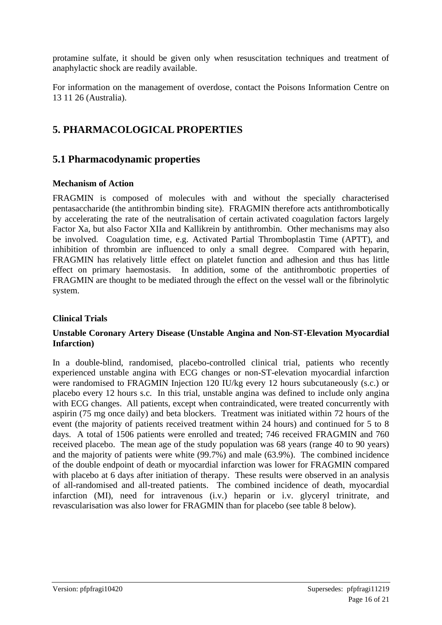protamine sulfate, it should be given only when resuscitation techniques and treatment of anaphylactic shock are readily available.

For information on the management of overdose, contact the Poisons Information Centre on 13 11 26 (Australia).

# **5. PHARMACOLOGICAL PROPERTIES**

## **5.1 Pharmacodynamic properties**

### **Mechanism of Action**

FRAGMIN is composed of molecules with and without the specially characterised pentasaccharide (the antithrombin binding site). FRAGMIN therefore acts antithrombotically by accelerating the rate of the neutralisation of certain activated coagulation factors largely Factor Xa, but also Factor XIIa and Kallikrein by antithrombin. Other mechanisms may also be involved. Coagulation time, e.g. Activated Partial Thromboplastin Time (APTT), and inhibition of thrombin are influenced to only a small degree. Compared with heparin, FRAGMIN has relatively little effect on platelet function and adhesion and thus has little effect on primary haemostasis. In addition, some of the antithrombotic properties of FRAGMIN are thought to be mediated through the effect on the vessel wall or the fibrinolytic system.

### **Clinical Trials**

### **Unstable Coronary Artery Disease (Unstable Angina and Non-ST-Elevation Myocardial Infarction)**

In a double-blind, randomised, placebo-controlled clinical trial, patients who recently experienced unstable angina with ECG changes or non-ST-elevation myocardial infarction were randomised to FRAGMIN Injection 120 IU/kg every 12 hours subcutaneously (s.c.) or placebo every 12 hours s.c. In this trial, unstable angina was defined to include only angina with ECG changes. All patients, except when contraindicated, were treated concurrently with aspirin (75 mg once daily) and beta blockers. Treatment was initiated within 72 hours of the event (the majority of patients received treatment within 24 hours) and continued for 5 to 8 days. A total of 1506 patients were enrolled and treated; 746 received FRAGMIN and 760 received placebo. The mean age of the study population was 68 years (range 40 to 90 years) and the majority of patients were white (99.7%) and male (63.9%). The combined incidence of the double endpoint of death or myocardial infarction was lower for FRAGMIN compared with placebo at 6 days after initiation of therapy. These results were observed in an analysis of all-randomised and all-treated patients. The combined incidence of death, myocardial infarction (MI), need for intravenous (i.v.) heparin or i.v. glyceryl trinitrate, and revascularisation was also lower for FRAGMIN than for placebo (see table 8 below).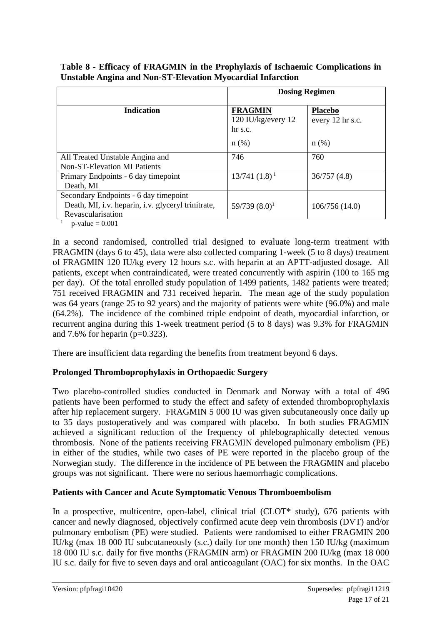|                                                                                                                  | <b>Dosing Regimen</b>                                      |                                               |  |  |
|------------------------------------------------------------------------------------------------------------------|------------------------------------------------------------|-----------------------------------------------|--|--|
| <b>Indication</b>                                                                                                | <b>FRAGMIN</b><br>120 IU/kg/every 12<br>hr s.c.<br>$n$ (%) | <b>Placebo</b><br>every 12 hr s.c.<br>$n(\%)$ |  |  |
| All Treated Unstable Angina and<br><b>Non-ST-Elevation MI Patients</b>                                           | 746                                                        | 760                                           |  |  |
| Primary Endpoints - 6 day timepoint<br>Death, MI                                                                 | $13/741(1.8)^1$                                            | 36/757(4.8)                                   |  |  |
| Secondary Endpoints - 6 day timepoint<br>Death, MI, i.v. heparin, i.v. glyceryl trinitrate,<br>Revascularisation | $59/739(8.0)^1$                                            | 106/756(14.0)                                 |  |  |

**Table 8 - Efficacy of FRAGMIN in the Prophylaxis of Ischaemic Complications in Unstable Angina and Non-ST-Elevation Myocardial Infarction**

 $p$ -value  $= 0.001$ 

In a second randomised, controlled trial designed to evaluate long-term treatment with FRAGMIN (days 6 to 45), data were also collected comparing 1-week (5 to 8 days) treatment of FRAGMIN 120 IU/kg every 12 hours s.c. with heparin at an APTT-adjusted dosage. All patients, except when contraindicated, were treated concurrently with aspirin (100 to 165 mg per day). Of the total enrolled study population of 1499 patients, 1482 patients were treated; 751 received FRAGMIN and 731 received heparin. The mean age of the study population was 64 years (range 25 to 92 years) and the majority of patients were white (96.0%) and male (64.2%). The incidence of the combined triple endpoint of death, myocardial infarction, or recurrent angina during this 1-week treatment period (5 to 8 days) was 9.3% for FRAGMIN and 7.6% for heparin ( $p=0.323$ ).

There are insufficient data regarding the benefits from treatment beyond 6 days.

## **Prolonged Thromboprophylaxis in Orthopaedic Surgery**

Two placebo-controlled studies conducted in Denmark and Norway with a total of 496 patients have been performed to study the effect and safety of extended thromboprophylaxis after hip replacement surgery. FRAGMIN 5 000 IU was given subcutaneously once daily up to 35 days postoperatively and was compared with placebo. In both studies FRAGMIN achieved a significant reduction of the frequency of phlebographically detected venous thrombosis. None of the patients receiving FRAGMIN developed pulmonary embolism (PE) in either of the studies, while two cases of PE were reported in the placebo group of the Norwegian study. The difference in the incidence of PE between the FRAGMIN and placebo groups was not significant. There were no serious haemorrhagic complications.

## **Patients with Cancer and Acute Symptomatic Venous Thromboembolism**

In a prospective, multicentre, open-label, clinical trial (CLOT<sup>\*</sup> study), 676 patients with cancer and newly diagnosed, objectively confirmed acute deep vein thrombosis (DVT) and/or pulmonary embolism (PE) were studied. Patients were randomised to either FRAGMIN 200 IU/kg (max 18 000 IU subcutaneously (s.c.) daily for one month) then 150 IU/kg (maximum 18 000 IU s.c. daily for five months (FRAGMIN arm) or FRAGMIN 200 IU/kg (max 18 000 IU s.c. daily for five to seven days and oral anticoagulant (OAC) for six months. In the OAC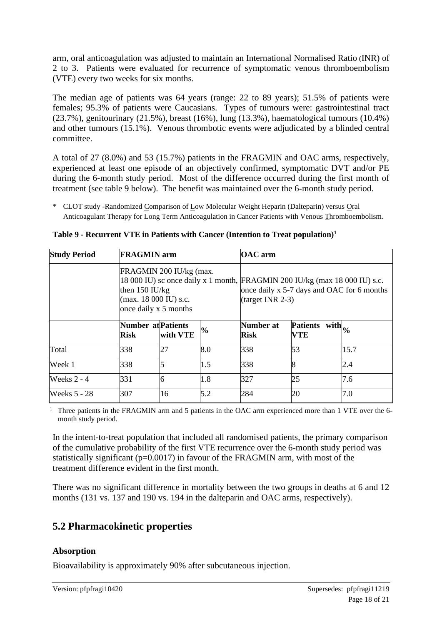arm, oral anticoagulation was adjusted to maintain an International Normalised Ratio (INR) of 2 to 3. Patients were evaluated for recurrence of symptomatic venous thromboembolism (VTE) every two weeks for six months.

The median age of patients was 64 years (range: 22 to 89 years); 51.5% of patients were females; 95.3% of patients were Caucasians. Types of tumours were: gastrointestinal tract (23.7%), genitourinary (21.5%), breast (16%), lung (13.3%), haematological tumours (10.4%) and other tumours (15.1%). Venous thrombotic events were adjudicated by a blinded central committee.

A total of 27 (8.0%) and 53 (15.7%) patients in the FRAGMIN and OAC arms, respectively, experienced at least one episode of an objectively confirmed, symptomatic DVT and/or PE during the 6-month study period. Most of the difference occurred during the first month of treatment (see table 9 below). The benefit was maintained over the 6-month study period.

\* CLOT study -Randomized Comparison of Low Molecular Weight Heparin (Dalteparin) versus Oral Anticoagulant Therapy for Long Term Anticoagulation in Cancer Patients with Venous Thromboembolism.

| <b>Study Period</b> | <b>FRAGMIN</b> arm                                                                                     |          |               | <b>OAC</b> arm                                                                                                                                 |    |      |  |
|---------------------|--------------------------------------------------------------------------------------------------------|----------|---------------|------------------------------------------------------------------------------------------------------------------------------------------------|----|------|--|
|                     | FRAGMIN 200 IU/kg (max.<br>then $150 \text{ IU/kg}$<br>$(max. 18000 IU)$ s.c.<br>once daily x 5 months |          |               | 18 000 IU) sc once daily x 1 month, FRAGMIN 200 IU/kg (max 18 000 IU) s.c.<br>once daily x 5-7 days and OAC for 6 months<br>$(target INR 2-3)$ |    |      |  |
|                     | <b>Number at Patients</b><br><b>Risk</b>                                                               | with VTE | $\frac{6}{6}$ | Number at<br>Patients with $ _{\%}$<br><b>Risk</b><br>VTE                                                                                      |    |      |  |
| Total               | 338                                                                                                    | 27       | 8.0           | 338                                                                                                                                            | 53 | 15.7 |  |
| Week 1              | 338                                                                                                    |          | 1.5           | 338                                                                                                                                            | 8  | 2.4  |  |
| Weeks $2 - 4$       | 331                                                                                                    | 6        | 1.8           | 327                                                                                                                                            | 25 | 7.6  |  |
| <b>Weeks 5 - 28</b> | 307                                                                                                    | 16       | 5.2           | 284                                                                                                                                            | 20 | 7.0  |  |

**Table 9 - Recurrent VTE in Patients with Cancer (Intention to Treat population)<sup>1</sup>**

<sup>1</sup> Three patients in the FRAGMIN arm and 5 patients in the OAC arm experienced more than 1 VTE over the 6month study period.

In the intent-to-treat population that included all randomised patients, the primary comparison of the cumulative probability of the first VTE recurrence over the 6-month study period was statistically significant ( $p=0.0017$ ) in favour of the FRAGMIN arm, with most of the treatment difference evident in the first month.

There was no significant difference in mortality between the two groups in deaths at 6 and 12 months (131 vs. 137 and 190 vs. 194 in the dalteparin and OAC arms, respectively).

## **5.2 Pharmacokinetic properties**

## **Absorption**

Bioavailability is approximately 90% after subcutaneous injection.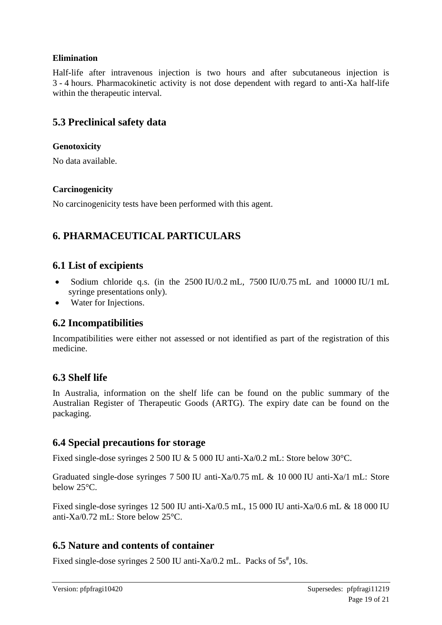## **Elimination**

Half-life after intravenous injection is two hours and after subcutaneous injection is 3 - 4 hours. Pharmacokinetic activity is not dose dependent with regard to anti-Xa half-life within the therapeutic interval.

## **5.3 Preclinical safety data**

### **Genotoxicity**

No data available.

### **Carcinogenicity**

No carcinogenicity tests have been performed with this agent.

# **6. PHARMACEUTICAL PARTICULARS**

## **6.1 List of excipients**

- Sodium chloride q.s. (in the  $2500 \text{ IU}/0.2 \text{ mL}$ ,  $7500 \text{ IU}/0.75 \text{ mL}$  and  $10000 \text{ IU}/1 \text{ mL}$ syringe presentations only).
- Water for Injections.

## **6.2 Incompatibilities**

Incompatibilities were either not assessed or not identified as part of the registration of this medicine.

## **6.3 Shelf life**

In Australia, information on the shelf life can be found on the public summary of the Australian Register of Therapeutic Goods (ARTG). The expiry date can be found on the packaging.

## **6.4 Special precautions for storage**

Fixed single-dose syringes 2 500 IU & 5 000 IU anti-Xa/0.2 mL: Store below 30°C.

Graduated single-dose syringes 7 500 IU anti-Xa $/0.75$  mL & 10 000 IU anti-Xa $/1$  mL: Store below 25°C.

Fixed single-dose syringes 12 500 IU anti-Xa/0.5 mL, 15 000 IU anti-Xa/0.6 mL & 18 000 IU anti-Xa/0.72 mL: Store below 25°C.

## **6.5 Nature and contents of container**

Fixed single-dose syringes  $2500$  IU anti-Xa/0.2 mL. Packs of  $5s<sup>{#}</sup>$ , 10s.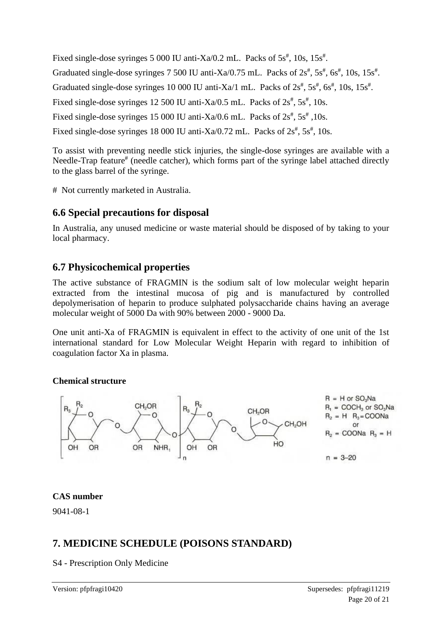Fixed single-dose syringes 5 000 IU anti-Xa/0.2 mL. Packs of  $5s<sup>*</sup>$ , 10s,  $15s<sup>*</sup>$ . Graduated single-dose syringes  $7\,500$  IU anti-Xa/0.75 mL. Packs of  $2s^{\#}$ ,  $5s^{\#}$ ,  $6s^{\#}$ ,  $10s$ ,  $15s^{\#}$ . Graduated single-dose syringes 10 000 IU anti-Xa/1 mL. Packs of  $2s<sup>#</sup>$ ,  $5s<sup>#</sup>$ ,  $6s<sup>#</sup>$ ,  $10s$ ,  $15s<sup>#</sup>$ . Fixed single-dose syringes 12 500 IU anti-Xa/0.5 mL. Packs of  $2s<sup>{#}</sup>$ , 5 $s<sup>{#}</sup>$ , 10s. Fixed single-dose syringes 15 000 IU anti-Xa/0.6 mL. Packs of  $2s<sup>\#</sup>$ , 5s<sup>#</sup>, 10s. Fixed single-dose syringes 18 000 IU anti-Xa/0.72 mL. Packs of  $2s^{\#}$ ,  $5s^{\#}$ , 10s.

To assist with preventing needle stick injuries, the single-dose syringes are available with a Needle-Trap feature<sup>#</sup> (needle catcher), which forms part of the syringe label attached directly to the glass barrel of the syringe.

# Not currently marketed in Australia.

## **6.6 Special precautions for disposal**

In Australia, any unused medicine or waste material should be disposed of by taking to your local pharmacy.

## **6.7 Physicochemical properties**

The active substance of FRAGMIN is the sodium salt of low molecular weight heparin extracted from the intestinal mucosa of pig and is manufactured by controlled depolymerisation of heparin to produce sulphated polysaccharide chains having an average molecular weight of 5000 Da with 90% between 2000 - 9000 Da.

One unit anti-Xa of FRAGMIN is equivalent in effect to the activity of one unit of the 1st international standard for Low Molecular Weight Heparin with regard to inhibition of coagulation factor Xa in plasma.

### **Chemical structure**



### **CAS number**

9041-08-1

# **7. MEDICINE SCHEDULE (POISONS STANDARD)**

S4 - Prescription Only Medicine